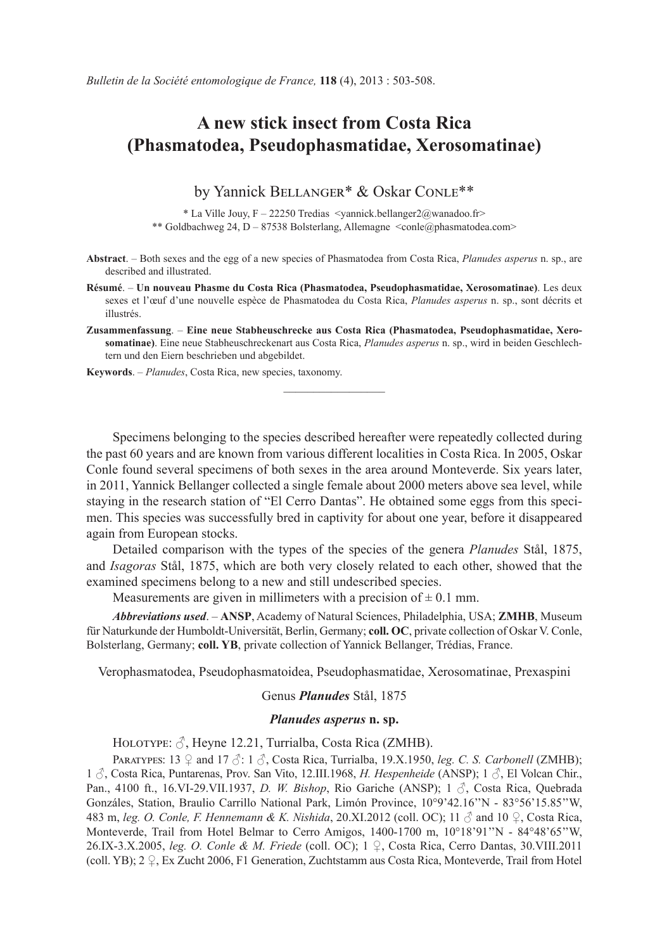## **A new stick insect from Costa Rica (Phasmatodea, Pseudophasmatidae, Xerosomatinae)**

by Yannick BELLANGER\* & Oskar CONLE\*\*

\* La Ville Jouy, F – 22250 Tredias <yannick.bellanger2@wanadoo.fr> \*\* Goldbachweg 24, D - 87538 Bolsterlang, Allemagne <conle@phasmatodea.com>

- **Abstract**. Both sexes and the egg of a new species of Phasmatodea from Costa Rica, *Planudes asperus* n. sp., are described and illustrated.
- **Résumé**. – **Un nouveau Phasme du Costa Rica (Phasmatodea, Pseudophasmatidae, Xerosomatinae)**. Les deux sexes et l'œuf d'une nouvelle espèce de Phasmatodea du Costa Rica, *Planudes asperus* n. sp., sont décrits et illustrés.
- **Zusammenfassung**. – **Eine neue Stabheuschrecke aus Costa Rica (Phasmatodea, Pseudophasmatidae, Xerosomatinae)**. Eine neue Stabheuschreckenart aus Costa Rica, *Planudes asperus* n. sp., wird in beiden Geschlechtern und den Eiern beschrieben und abgebildet.

 $\overline{\phantom{a}}$  , where  $\overline{\phantom{a}}$ 

**Keywords**. – *Planudes*, Costa Rica, new species, taxonomy.

Specimens belonging to the species described hereafter were repeatedly collected during the past 60 years and are known from various different localities in Costa Rica. In 2005, Oskar Conle found several specimens of both sexes in the area around Monteverde. Six years later, in 2011, Yannick Bellanger collected a single female about 2000 meters above sea level, while staying in the research station of "El Cerro Dantas". He obtained some eggs from this specimen. This species was successfully bred in captivity for about one year, before it disappeared again from European stocks.

Detailed comparison with the types of the species of the genera *Planudes* Stål, 1875, and *Isagoras* Stål, 1875, which are both very closely related to each other, showed that the examined specimens belong to a new and still undescribed species.

Measurements are given in millimeters with a precision of  $\pm$  0.1 mm.

*Abbreviations used*. – **ANSP**, Academy of Natural Sciences, Philadelphia, USA; **ZMHB**, Museum für Naturkunde der Humboldt-Universität, Berlin, Germany; **coll. OC**, private collection of Oskar V. Conle, Bolsterlang, Germany; **coll. YB**, private collection of Yannick Bellanger, Trédias, France.

Verophasmatodea, Pseudophasmatoidea, Pseudophasmatidae, Xerosomatinae, Prexaspini

Genus *Planudes* Stål, 1875

## *Planudes asperus* **n. sp.**

HOLOTYPE:  $\Im$ , Heyne 12.21, Turrialba, Costa Rica (ZMHB).

PARATYPES:  $13 \nsubseteq$  and  $17 \nsubseteq$ :  $1 \nsubseteq$ , Costa Rica, Turrialba, 19.X.1950, *leg. C. S. Carbonell* (ZMHB); 1 ♂, Costa Rica, Puntarenas, Prov. San Vito, 12.III.1968, *H. Hespenheide* (ANSP); 1 ♂, El Volcan Chir., Pan., 4100 ft., 16.VI-29.VII.1937, *D. W. Bishop*, Rio Gariche (ANSP); 1 ♂, Costa Rica, Quebrada Gonzáles, Station, Braulio Carrillo National Park, Limón Province, 10°9'42.16''N - 83°56'15.85''W, 483 m, *leg. O. Conle, F. Hennemann & K. Nishida*, 20.XI.2012 (coll. OC); 11 ♂ and 10 ♀, Costa Rica, Monteverde, Trail from Hotel Belmar to Cerro Amigos, 1400-1700 m, 10°18'91''N - 84°48'65''W, 26.IX-3.X.2005, *leg. O. Conle & M. Friede* (coll. OC); 1 ♀, Costa Rica, Cerro Dantas, 30.VIII.2011 (coll. YB); 2 ♀, Ex Zucht 2006, F1 Generation, Zuchtstamm aus Costa Rica, Monteverde, Trail from Hotel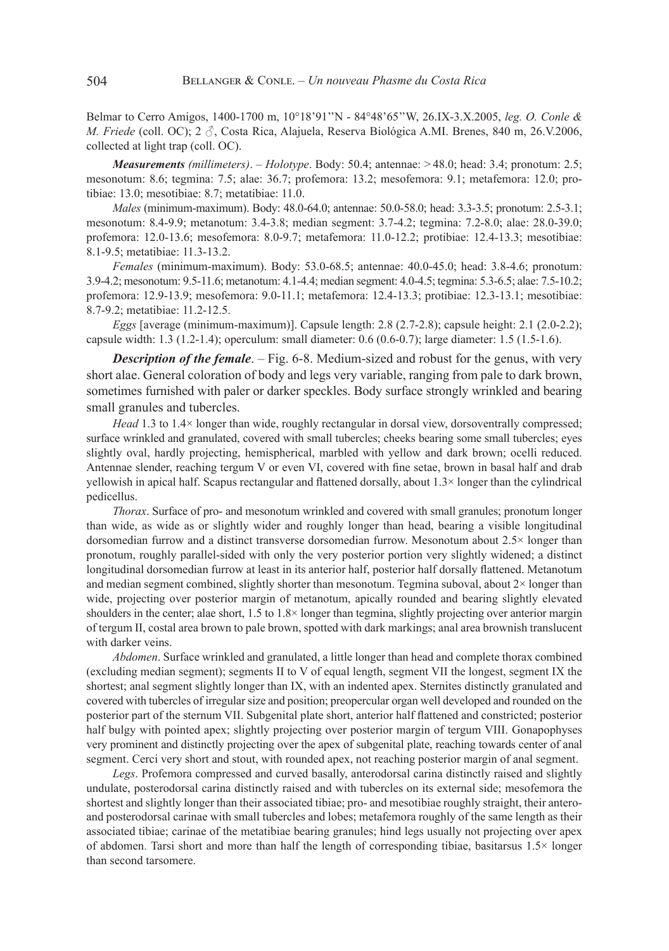Belmar to Cerro Amigos, 1400-1700 m, 10°18'91''N - 84°48'65''W, 26.IX-3.X.2005, *leg. O. Conle & M. Friede* (coll. OC); 2 ♂, Costa Rica, Alajuela, Reserva Biológica A.MI. Brenes, 840 m, 26.V.2006, collected at light trap (coll. OC).

*Measurements (millimeters)*. – *Holotype*. Body: 50.4; antennae: > 48.0; head: 3.4; pronotum: 2.5; mesonotum: 8.6; tegmina: 7.5; alae: 36.7; profemora: 13.2; mesofemora: 9.1; metafemora: 12.0; protibiae: 13.0; mesotibiae: 8.7; metatibiae: 11.0.

*Males* (minimum-maximum). Body: 48.0-64.0; antennae: 50.0-58.0; head: 3.3-3.5; pronotum: 2.5-3.1; mesonotum: 8.4-9.9; metanotum: 3.4-3.8; median segment: 3.7-4.2; tegmina: 7.2-8.0; alae: 28.0-39.0; profemora: 12.0-13.6; mesofemora: 8.0-9.7; metafemora: 11.0-12.2; protibiae: 12.4-13.3; mesotibiae: 8.1-9.5; metatibiae: 11.3-13.2.

*Females* (minimum-maximum). Body: 53.0-68.5; antennae: 40.0-45.0; head: 3.8-4.6; pronotum: 3.9-4.2; mesonotum: 9.5-11.6; metanotum: 4.1-4.4; median segment: 4.0-4.5; tegmina: 5.3-6.5; alae: 7.5-10.2; profemora: 12.9-13.9; mesofemora: 9.0-11.1; metafemora: 12.4-13.3; protibiae: 12.3-13.1; mesotibiae: 8.7-9.2; metatibiae: 11.2-12.5.

*Eggs* [average (minimum-maximum)]. Capsule length: 2.8 (2.7-2.8); capsule height: 2.1 (2.0-2.2); capsule width:  $1.3$  ( $1.2-1.4$ ); operculum: small diameter:  $0.6$  ( $0.6-0.7$ ); large diameter:  $1.5$  ( $1.5-1.6$ ).

**Description of the female**. – Fig. 6-8. Medium-sized and robust for the genus, with very short alae. General coloration of body and legs very variable, ranging from pale to dark brown, sometimes furnished with paler or darker speckles. Body surface strongly wrinkled and bearing small granules and tubercles.

*Head* 1.3 to 1.4× longer than wide, roughly rectangular in dorsal view, dorsoventrally compressed; surface wrinkled and granulated, covered with small tubercles; cheeks bearing some small tubercles; eyes slightly oval, hardly projecting, hemispherical, marbled with yellow and dark brown; ocelli reduced. Antennae slender, reaching tergum V or even VI, covered with fine setae, brown in basal half and drab yellowish in apical half. Scapus rectangular and flattened dorsally, about 1.3× longer than the cylindrical pedicellus.

*Thorax*. Surface of pro- and mesonotum wrinkled and covered with small granules; pronotum longer than wide, as wide as or slightly wider and roughly longer than head, bearing a visible longitudinal dorsomedian furrow and a distinct transverse dorsomedian furrow. Mesonotum about 2.5× longer than pronotum, roughly parallel-sided with only the very posterior portion very slightly widened; a distinct longitudinal dorsomedian furrow at least in its anterior half, posterior half dorsally flattened. Metanotum and median segment combined, slightly shorter than mesonotum. Tegmina suboval, about 2× longer than wide, projecting over posterior margin of metanotum, apically rounded and bearing slightly elevated shoulders in the center; alae short, 1.5 to 1.8× longer than tegmina, slightly projecting over anterior margin of tergum II, costal area brown to pale brown, spotted with dark markings; anal area brownish translucent with darker veins.

*Abdomen*. Surface wrinkled and granulated, a little longer than head and complete thorax combined (excluding median segment); segments II to V of equal length, segment VII the longest, segment IX the shortest; anal segment slightly longer than IX, with an indented apex. Sternites distinctly granulated and covered with tubercles of irregular size and position; preopercular organ well developed and rounded on the posterior part of the sternum VII. Subgenital plate short, anterior half flattened and constricted; posterior half bulgy with pointed apex; slightly projecting over posterior margin of tergum VIII. Gonapophyses very prominent and distinctly projecting over the apex of subgenital plate, reaching towards center of anal segment. Cerci very short and stout, with rounded apex, not reaching posterior margin of anal segment.

*Legs*. Profemora compressed and curved basally, anterodorsal carina distinctly raised and slightly undulate, posterodorsal carina distinctly raised and with tubercles on its external side; mesofemora the shortest and slightly longer than their associated tibiae; pro- and mesotibiae roughly straight, their anteroand posterodorsal carinae with small tubercles and lobes; metafemora roughly of the same length as their associated tibiae; carinae of the metatibiae bearing granules; hind legs usually not projecting over apex of abdomen. Tarsi short and more than half the length of corresponding tibiae, basitarsus 1.5× longer than second tarsomere.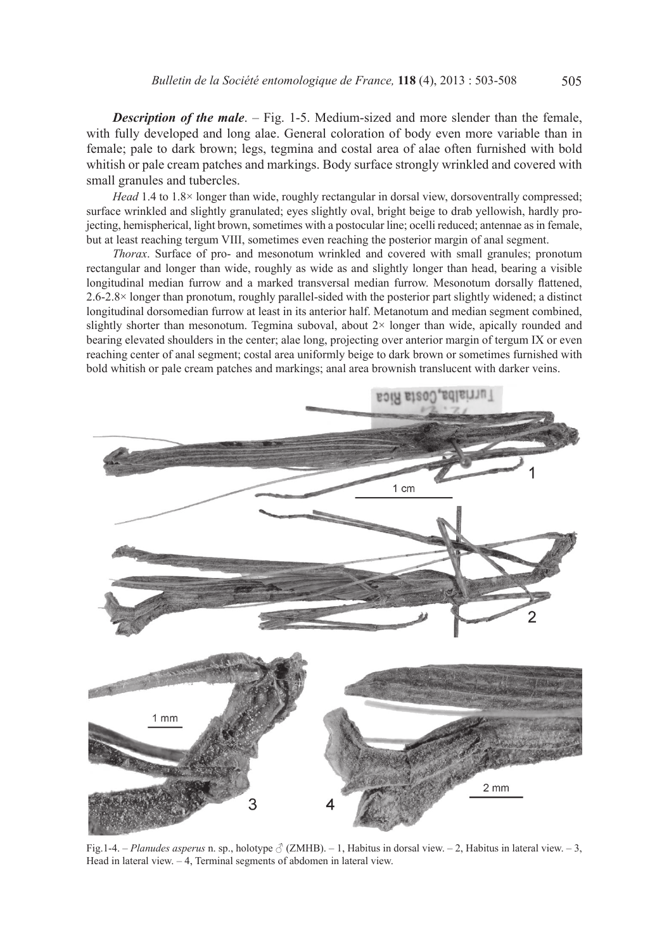**Description of the male**. – Fig. 1-5. Medium-sized and more slender than the female, with fully developed and long alae. General coloration of body even more variable than in female; pale to dark brown; legs, tegmina and costal area of alae often furnished with bold whitish or pale cream patches and markings. Body surface strongly wrinkled and covered with small granules and tubercles.

*Head* 1.4 to 1.8× longer than wide, roughly rectangular in dorsal view, dorsoventrally compressed; surface wrinkled and slightly granulated; eyes slightly oval, bright beige to drab yellowish, hardly projecting, hemispherical, light brown, sometimes with a postocular line; ocelli reduced; antennae as in female, but at least reaching tergum VIII, sometimes even reaching the posterior margin of anal segment.

*Thorax*. Surface of pro- and mesonotum wrinkled and covered with small granules; pronotum rectangular and longer than wide, roughly as wide as and slightly longer than head, bearing a visible longitudinal median furrow and a marked transversal median furrow. Mesonotum dorsally flattened, 2.6-2.8× longer than pronotum, roughly parallel-sided with the posterior part slightly widened; a distinct longitudinal dorsomedian furrow at least in its anterior half. Metanotum and median segment combined, slightly shorter than mesonotum. Tegmina suboval, about  $2\times$  longer than wide, apically rounded and bearing elevated shoulders in the center; alae long, projecting over anterior margin of tergum IX or even reaching center of anal segment; costal area uniformly beige to dark brown or sometimes furnished with bold whitish or pale cream patches and markings; anal area brownish translucent with darker veins.



Fig.1-4. – *Planudes asperus* n. sp., holotype ♂ (ZMHB). – 1, Habitus in dorsal view. – 2, Habitus in lateral view. – 3, Head in lateral view.  $-4$ , Terminal segments of abdomen in lateral view.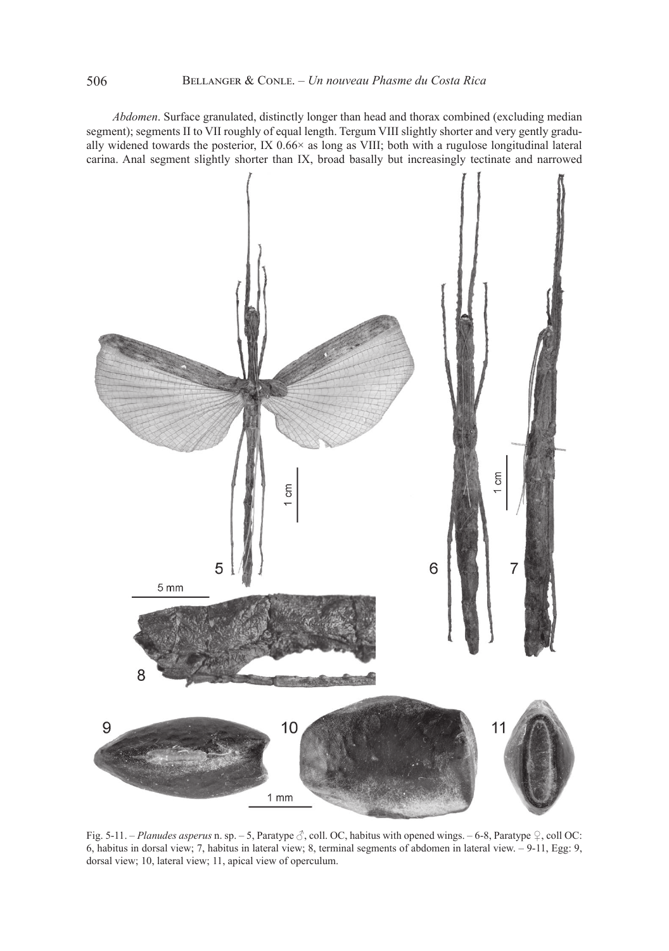*Abdomen*. Surface granulated, distinctly longer than head and thorax combined (excluding median segment); segments II to VII roughly of equal length. Tergum VIII slightly shorter and very gently gradually widened towards the posterior, IX 0.66× as long as VIII; both with a rugulose longitudinal lateral carina. Anal segment slightly shorter than IX, broad basally but increasingly tectinate and narrowed



Fig. 5-11. – *Planudes asperus* n. sp. – 5, Paratype ♂, coll. OC, habitus with opened wings. – 6-8, Paratype ♀, coll OC: 6, habitus in dorsal view; 7, habitus in lateral view; 8, terminal segments of abdomen in lateral view. – 9-11, Egg: 9, dorsal view; 10, lateral view; 11, apical view of operculum.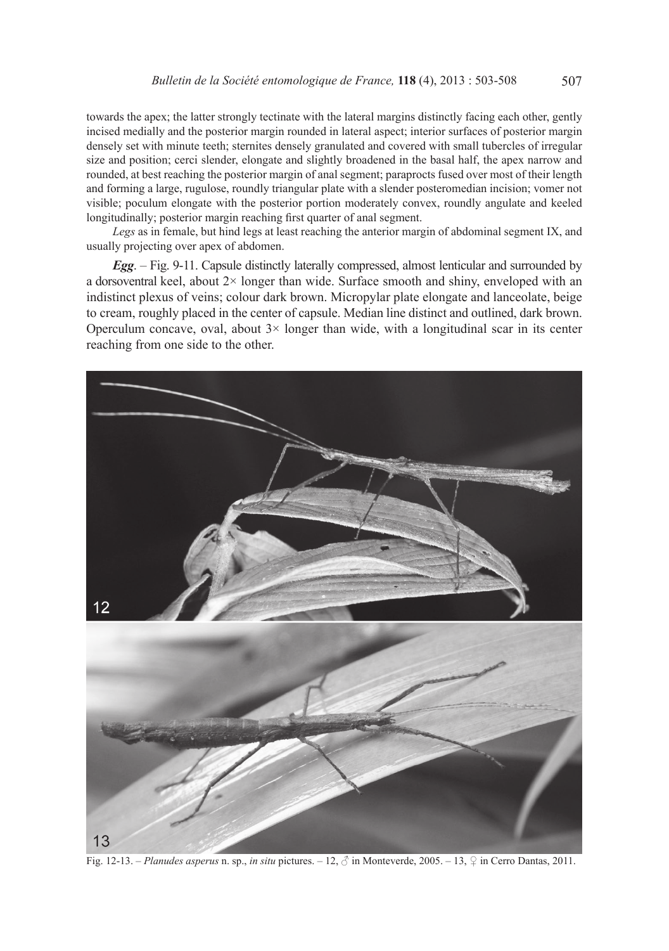towards the apex; the latter strongly tectinate with the lateral margins distinctly facing each other, gently incised medially and the posterior margin rounded in lateral aspect; interior surfaces of posterior margin densely set with minute teeth; sternites densely granulated and covered with small tubercles of irregular size and position; cerci slender, elongate and slightly broadened in the basal half, the apex narrow and rounded, at best reaching the posterior margin of anal segment; paraprocts fused over most of their length and forming a large, rugulose, roundly triangular plate with a slender posteromedian incision; vomer not visible; poculum elongate with the posterior portion moderately convex, roundly angulate and keeled longitudinally; posterior margin reaching first quarter of anal segment.

*Legs* as in female, but hind legs at least reaching the anterior margin of abdominal segment IX, and usually projecting over apex of abdomen.

*Egg*. – Fig. 9-11. Capsule distinctly laterally compressed, almost lenticular and surrounded by a dorsoventral keel, about 2× longer than wide. Surface smooth and shiny, enveloped with an indistinct plexus of veins; colour dark brown. Micropylar plate elongate and lanceolate, beige to cream, roughly placed in the center of capsule. Median line distinct and outlined, dark brown. Operculum concave, oval, about  $3 \times$  longer than wide, with a longitudinal scar in its center reaching from one side to the other.



Fig. 12-13. – *Planudes asperus* n. sp., *in situ* pictures. – 12, ♂ in Monteverde, 2005. – 13, ♀ in Cerro Dantas, 2011.